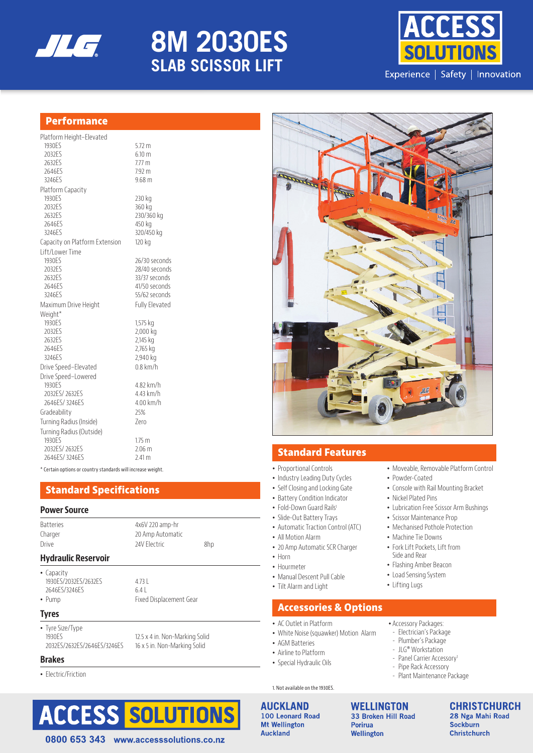

# **ES SERIES 8M 2030ES SLAB SCISSOR LIFT**



## **Performance**

| Platform Height-Elevated       |                       |
|--------------------------------|-----------------------|
| 1930ES                         | $5.72 \text{ m}$      |
| 2032ES                         | 6.10 m                |
| 2632ES                         | 7.77 <sub>m</sub>     |
| 2646ES                         | $7.92 \text{ m}$      |
| 3246ES                         | 9.68 <sub>m</sub>     |
| Platform Capacity              |                       |
| 1930 <sub>FS</sub>             | 230 kg                |
| 2032ES                         | 360 kg                |
| 2632ES                         | 230/360 kg            |
| 2646FS                         | 450 kg                |
| 3246FS                         | 320/450 kg            |
| Capacity on Platform Extension | 120 kg                |
| Lift/Lower Time                |                       |
| 1930ES                         | 26/30 seconds         |
| 2032ES                         | 28/40 seconds         |
| 2632ES                         | 33/37 seconds         |
| 2646FS                         | 41/50 seconds         |
| 3246ES                         | 55/62 seconds         |
| Maximum Drive Height           | <b>Fully Elevated</b> |
| Weight*                        |                       |
| 1930 <sub>FS</sub>             | 1,575 kg              |
| 2032ES                         | 2,000 kg              |
| 2632ES                         | 2,145 kg              |
| 2646FS                         | 2,765 kg              |
| 3246FS                         | 2,940 kg              |
| Drive Speed-Elevated           | $0.8$ km/h            |
| Drive Speed-Lowered            |                       |
| 1930 <sub>FS</sub>             | 4.82 km/h             |
| 2032ES/2632ES                  | 4.43 km/h             |
| 2646ES/3246ES                  | 4.00 km/h             |
| Gradeability                   | 25%                   |
| Turning Radius (Inside)        | 7ero                  |
| Turning Radius (Outside)       |                       |
| 1930ES                         | 1.75 <sub>m</sub>     |
| 2032ES/2632ES                  | 2.06 <sub>m</sub>     |
| 2646ES/3246ES                  | 2.41 <sub>m</sub>     |

\* Certain options or country standards will increase weight.

## **Standard Specifications**

#### **Power Source**

| <b>Hydraulic Reservoir</b> |                   |     |  |
|----------------------------|-------------------|-----|--|
| Drive                      | 24V Flectric      | 8hp |  |
| Charger                    | 20 Amp Automatic  |     |  |
| <b>Batteries</b>           | $4x6V$ 220 amp-hr |     |  |
|                            |                   |     |  |

### **Hydraulic Reservoir**

• Capacity 1930ES/2032ES/2632ES 4.73 L 2646ES/3246ES 6.4 L

• Pump Fixed Displacement Gear

0800 653 343 www.accesssolutions.co.nz

#### **Tyres**

• Tyre Size/Type

#### **Brakes**

• Electric/Friction





## **Standard Features**

- Proportional Controls
- Industry Leading Duty Cycles
- Self Closing and Locking Gate
- Battery Condition Indicator
- Fold-Down Guard Rails<sup>1</sup>
- Slide-Out Battery Trays
- Automatic Traction Control (ATC)
- All Motion Alarm
- 20 Amp Automatic SCR Charger
- Horn
- Hourmeter
- Manual Descent Pull Cable
- Tilt Alarm and Light

## **Accessories & Options**

- AC Outlet in Platform
- White Noise (squawker) Motion Alarm

**AUCKLAND** 100 Leonard Road **Mt Wellington Auckland** 

**WELLINGTON** 33 Broken Hill Road **Porirua** Wellington

**CHRISTCHURCH** 28 Nga Mahi Road **Sockburn Christchurch** 

## • Lifting Lugs

- Accessory Packages: - Electrician's Package
- Plumber's Package
- JLG® Workstation
- Panel Carrier Accessory<sup>1</sup>
- Pipe Rack Accessory
- Plant Maintenance Package

• Moveable, Removable Platform Control

• Console with Rail Mounting Bracket

• Lubrication Free Scissor Arm Bushings

• Powder-Coated

• Nickel Plated Pins

• Machine Tie Downs • Fork Lift Pockets, Lift from Side and Rear • Flashing Amber Beacon • Load Sensing System

• Scissor Maintenance Prop • Mechanised Pothole Protection